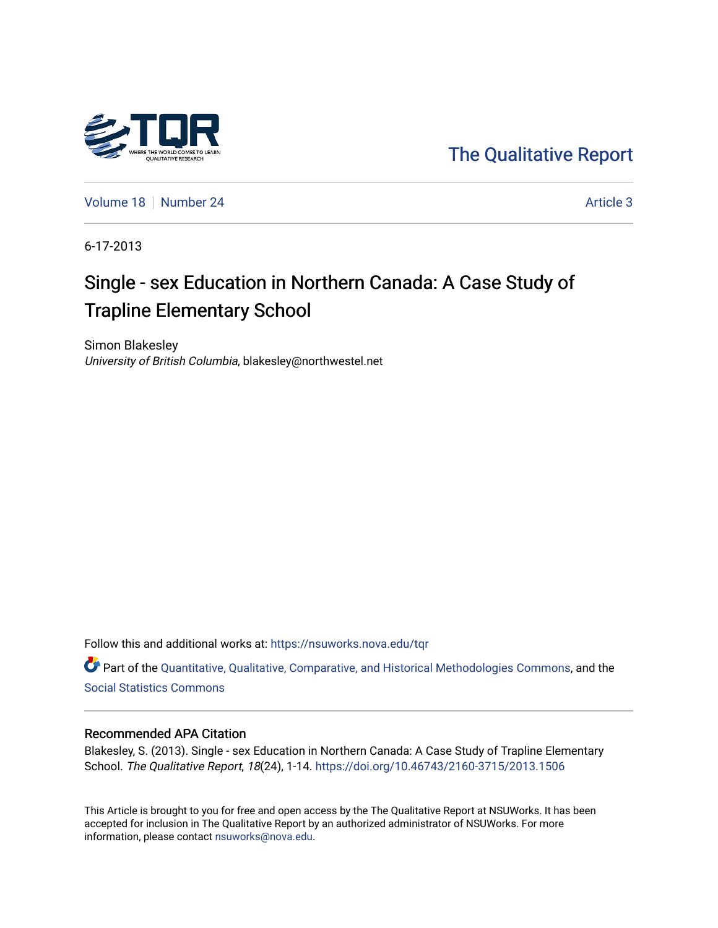

[The Qualitative Report](https://nsuworks.nova.edu/tqr) 

[Volume 18](https://nsuworks.nova.edu/tqr/vol18) [Number 24](https://nsuworks.nova.edu/tqr/vol18/iss24) Article 3

6-17-2013

# Single - sex Education in Northern Canada: A Case Study of Trapline Elementary School

Simon Blakesley University of British Columbia, blakesley@northwestel.net

Follow this and additional works at: [https://nsuworks.nova.edu/tqr](https://nsuworks.nova.edu/tqr?utm_source=nsuworks.nova.edu%2Ftqr%2Fvol18%2Fiss24%2F3&utm_medium=PDF&utm_campaign=PDFCoverPages) 

Part of the [Quantitative, Qualitative, Comparative, and Historical Methodologies Commons,](http://network.bepress.com/hgg/discipline/423?utm_source=nsuworks.nova.edu%2Ftqr%2Fvol18%2Fiss24%2F3&utm_medium=PDF&utm_campaign=PDFCoverPages) and the [Social Statistics Commons](http://network.bepress.com/hgg/discipline/1275?utm_source=nsuworks.nova.edu%2Ftqr%2Fvol18%2Fiss24%2F3&utm_medium=PDF&utm_campaign=PDFCoverPages) 

#### Recommended APA Citation

Blakesley, S. (2013). Single - sex Education in Northern Canada: A Case Study of Trapline Elementary School. The Qualitative Report, 18(24), 1-14.<https://doi.org/10.46743/2160-3715/2013.1506>

This Article is brought to you for free and open access by the The Qualitative Report at NSUWorks. It has been accepted for inclusion in The Qualitative Report by an authorized administrator of NSUWorks. For more information, please contact [nsuworks@nova.edu.](mailto:nsuworks@nova.edu)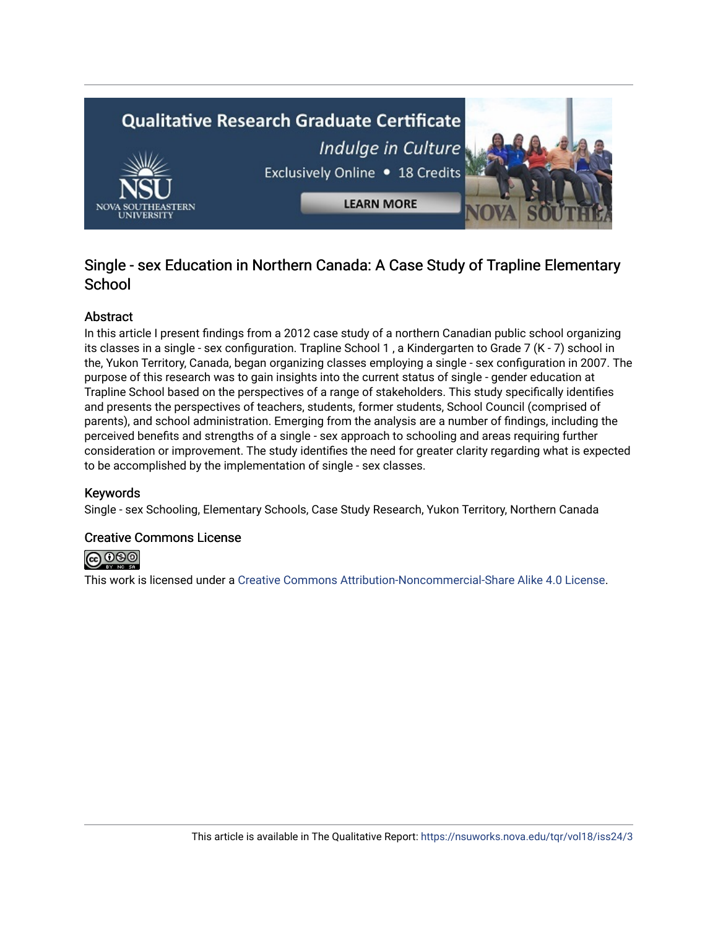

## Single - sex Education in Northern Canada: A Case Study of Trapline Elementary **School**

## Abstract

In this article I present findings from a 2012 case study of a northern Canadian public school organizing its classes in a single - sex configuration. Trapline School 1, a Kindergarten to Grade 7 (K - 7) school in the, Yukon Territory, Canada, began organizing classes employing a single - sex configuration in 2007. The purpose of this research was to gain insights into the current status of single - gender education at Trapline School based on the perspectives of a range of stakeholders. This study specifically identifies and presents the perspectives of teachers, students, former students, School Council (comprised of parents), and school administration. Emerging from the analysis are a number of findings, including the perceived benefits and strengths of a single - sex approach to schooling and areas requiring further consideration or improvement. The study identifies the need for greater clarity regarding what is expected to be accomplished by the implementation of single - sex classes.

## Keywords

Single - sex Schooling, Elementary Schools, Case Study Research, Yukon Territory, Northern Canada

## Creative Commons License



This work is licensed under a [Creative Commons Attribution-Noncommercial-Share Alike 4.0 License](https://creativecommons.org/licenses/by-nc-sa/4.0/).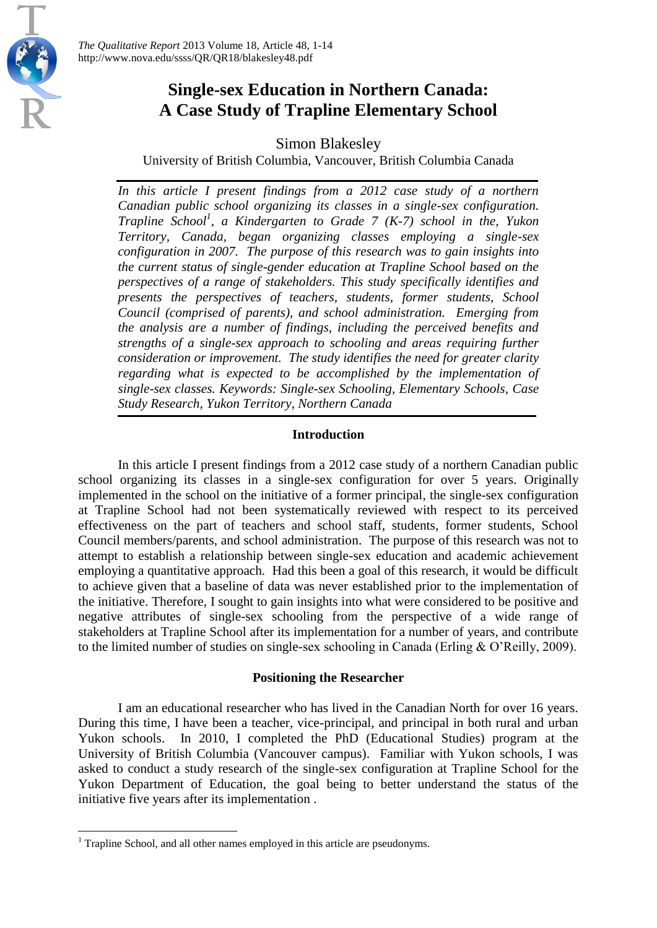## **Single-sex Education in Northern Canada: A Case Study of Trapline Elementary School**

Simon Blakesley

University of British Columbia, Vancouver, British Columbia Canada

*In this article I present findings from a 2012 case study of a northern Canadian public school organizing its classes in a single-sex configuration. Trapline School<sup>1</sup> , a Kindergarten to Grade 7 (K-7) school in the, Yukon Territory, Canada, began organizing classes employing a single-sex configuration in 2007. The purpose of this research was to gain insights into the current status of single-gender education at Trapline School based on the perspectives of a range of stakeholders. This study specifically identifies and presents the perspectives of teachers, students, former students, School Council (comprised of parents), and school administration. Emerging from the analysis are a number of findings, including the perceived benefits and strengths of a single-sex approach to schooling and areas requiring further consideration or improvement. The study identifies the need for greater clarity regarding what is expected to be accomplished by the implementation of single-sex classes. Keywords: Single-sex Schooling, Elementary Schools, Case Study Research, Yukon Territory, Northern Canada*

## **Introduction**

In this article I present findings from a 2012 case study of a northern Canadian public school organizing its classes in a single-sex configuration for over 5 years. Originally implemented in the school on the initiative of a former principal, the single-sex configuration at Trapline School had not been systematically reviewed with respect to its perceived effectiveness on the part of teachers and school staff, students, former students, School Council members/parents, and school administration. The purpose of this research was not to attempt to establish a relationship between single-sex education and academic achievement employing a quantitative approach. Had this been a goal of this research, it would be difficult to achieve given that a baseline of data was never established prior to the implementation of the initiative. Therefore, I sought to gain insights into what were considered to be positive and negative attributes of single-sex schooling from the perspective of a wide range of stakeholders at Trapline School after its implementation for a number of years, and contribute to the limited number of studies on single-sex schooling in Canada (Erling & O'Reilly, 2009).

## **Positioning the Researcher**

I am an educational researcher who has lived in the Canadian North for over 16 years. During this time, I have been a teacher, vice-principal, and principal in both rural and urban Yukon schools. In 2010, I completed the PhD (Educational Studies) program at the University of British Columbia (Vancouver campus). Familiar with Yukon schools, I was asked to conduct a study research of the single-sex configuration at Trapline School for the Yukon Department of Education, the goal being to better understand the status of the initiative five years after its implementation .

 $\overline{\phantom{a}}$ 

 $1$  Trapline School, and all other names employed in this article are pseudonyms.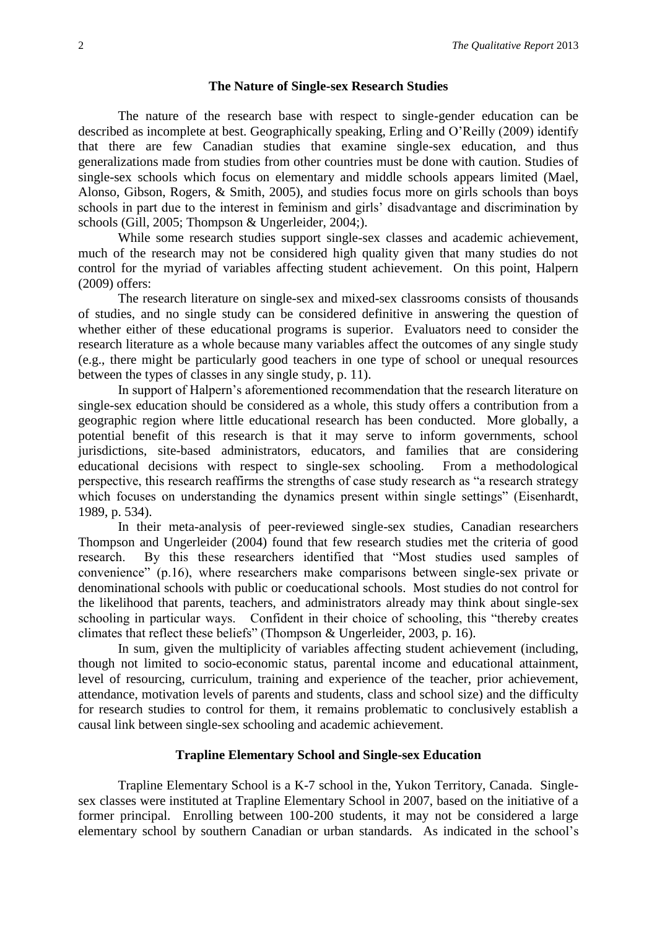#### **The Nature of Single-sex Research Studies**

The nature of the research base with respect to single-gender education can be described as incomplete at best. Geographically speaking, Erling and O'Reilly (2009) identify that there are few Canadian studies that examine single-sex education, and thus generalizations made from studies from other countries must be done with caution. Studies of single-sex schools which focus on elementary and middle schools appears limited (Mael, Alonso, Gibson, Rogers, & Smith, 2005), and studies focus more on girls schools than boys schools in part due to the interest in feminism and girls' disadvantage and discrimination by schools (Gill, 2005; Thompson & Ungerleider, 2004;).

While some research studies support single-sex classes and academic achievement, much of the research may not be considered high quality given that many studies do not control for the myriad of variables affecting student achievement. On this point, Halpern (2009) offers:

The research literature on single-sex and mixed-sex classrooms consists of thousands of studies, and no single study can be considered definitive in answering the question of whether either of these educational programs is superior. Evaluators need to consider the research literature as a whole because many variables affect the outcomes of any single study (e.g., there might be particularly good teachers in one type of school or unequal resources between the types of classes in any single study, p. 11).

In support of Halpern's aforementioned recommendation that the research literature on single-sex education should be considered as a whole, this study offers a contribution from a geographic region where little educational research has been conducted. More globally, a potential benefit of this research is that it may serve to inform governments, school jurisdictions, site-based administrators, educators, and families that are considering educational decisions with respect to single-sex schooling. From a methodological perspective, this research reaffirms the strengths of case study research as "a research strategy which focuses on understanding the dynamics present within single settings" (Eisenhardt, 1989, p. 534).

In their meta-analysis of peer-reviewed single-sex studies, Canadian researchers Thompson and Ungerleider (2004) found that few research studies met the criteria of good research. By this these researchers identified that "Most studies used samples of convenience" (p.16), where researchers make comparisons between single-sex private or denominational schools with public or coeducational schools. Most studies do not control for the likelihood that parents, teachers, and administrators already may think about single-sex schooling in particular ways. Confident in their choice of schooling, this "thereby creates climates that reflect these beliefs" (Thompson & Ungerleider, 2003, p. 16).

In sum, given the multiplicity of variables affecting student achievement (including, though not limited to socio-economic status, parental income and educational attainment, level of resourcing, curriculum, training and experience of the teacher, prior achievement, attendance, motivation levels of parents and students, class and school size) and the difficulty for research studies to control for them, it remains problematic to conclusively establish a causal link between single-sex schooling and academic achievement.

#### **Trapline Elementary School and Single-sex Education**

Trapline Elementary School is a K-7 school in the, Yukon Territory, Canada. Singlesex classes were instituted at Trapline Elementary School in 2007, based on the initiative of a former principal. Enrolling between 100-200 students, it may not be considered a large elementary school by southern Canadian or urban standards. As indicated in the school's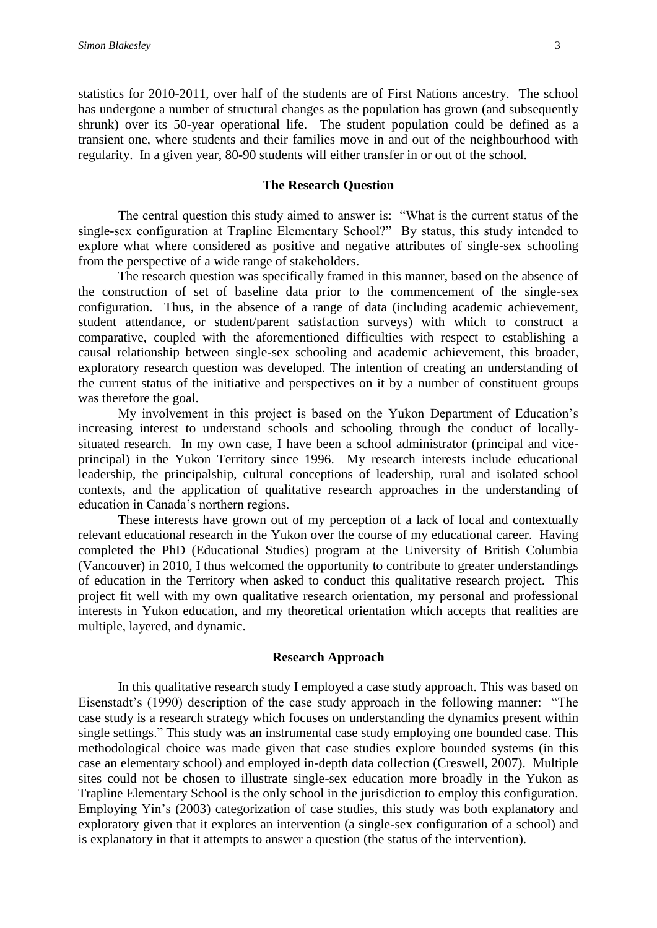statistics for 2010-2011, over half of the students are of First Nations ancestry. The school has undergone a number of structural changes as the population has grown (and subsequently shrunk) over its 50-year operational life. The student population could be defined as a transient one, where students and their families move in and out of the neighbourhood with regularity. In a given year, 80-90 students will either transfer in or out of the school.

#### **The Research Question**

The central question this study aimed to answer is: "What is the current status of the single-sex configuration at Trapline Elementary School?" By status, this study intended to explore what where considered as positive and negative attributes of single-sex schooling from the perspective of a wide range of stakeholders.

The research question was specifically framed in this manner, based on the absence of the construction of set of baseline data prior to the commencement of the single-sex configuration. Thus, in the absence of a range of data (including academic achievement, student attendance, or student/parent satisfaction surveys) with which to construct a comparative, coupled with the aforementioned difficulties with respect to establishing a causal relationship between single-sex schooling and academic achievement, this broader, exploratory research question was developed. The intention of creating an understanding of the current status of the initiative and perspectives on it by a number of constituent groups was therefore the goal.

My involvement in this project is based on the Yukon Department of Education's increasing interest to understand schools and schooling through the conduct of locallysituated research. In my own case, I have been a school administrator (principal and viceprincipal) in the Yukon Territory since 1996. My research interests include educational leadership, the principalship, cultural conceptions of leadership, rural and isolated school contexts, and the application of qualitative research approaches in the understanding of education in Canada's northern regions.

These interests have grown out of my perception of a lack of local and contextually relevant educational research in the Yukon over the course of my educational career. Having completed the PhD (Educational Studies) program at the University of British Columbia (Vancouver) in 2010, I thus welcomed the opportunity to contribute to greater understandings of education in the Territory when asked to conduct this qualitative research project. This project fit well with my own qualitative research orientation, my personal and professional interests in Yukon education, and my theoretical orientation which accepts that realities are multiple, layered, and dynamic.

#### **Research Approach**

In this qualitative research study I employed a case study approach. This was based on Eisenstadt's (1990) description of the case study approach in the following manner: "The case study is a research strategy which focuses on understanding the dynamics present within single settings." This study was an instrumental case study employing one bounded case. This methodological choice was made given that case studies explore bounded systems (in this case an elementary school) and employed in-depth data collection (Creswell, 2007). Multiple sites could not be chosen to illustrate single-sex education more broadly in the Yukon as Trapline Elementary School is the only school in the jurisdiction to employ this configuration. Employing Yin's (2003) categorization of case studies, this study was both explanatory and exploratory given that it explores an intervention (a single-sex configuration of a school) and is explanatory in that it attempts to answer a question (the status of the intervention).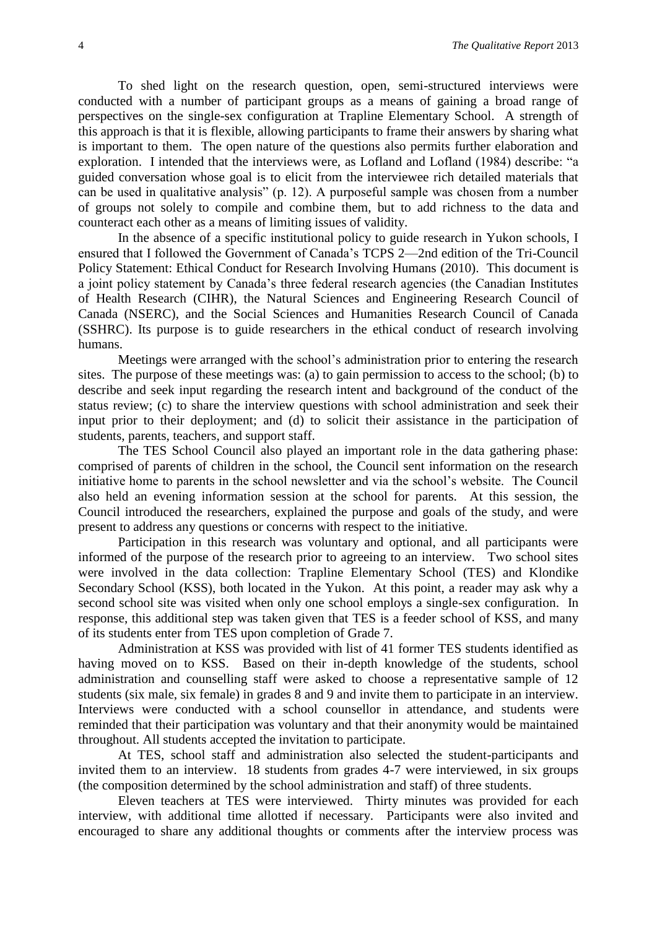To shed light on the research question, open, semi-structured interviews were conducted with a number of participant groups as a means of gaining a broad range of perspectives on the single-sex configuration at Trapline Elementary School. A strength of this approach is that it is flexible, allowing participants to frame their answers by sharing what is important to them. The open nature of the questions also permits further elaboration and exploration. I intended that the interviews were, as Lofland and Lofland (1984) describe: "a guided conversation whose goal is to elicit from the interviewee rich detailed materials that can be used in qualitative analysis" (p. 12). A purposeful sample was chosen from a number of groups not solely to compile and combine them, but to add richness to the data and counteract each other as a means of limiting issues of validity.

In the absence of a specific institutional policy to guide research in Yukon schools, I ensured that I followed the Government of Canada's TCPS 2—2nd edition of the Tri-Council Policy Statement: Ethical Conduct for Research Involving Humans (2010). This document is a joint policy statement by Canada's three federal research agencies (the Canadian Institutes of Health Research (CIHR), the Natural Sciences and Engineering Research Council of Canada (NSERC), and the Social Sciences and Humanities Research Council of Canada (SSHRC). Its purpose is to guide researchers in the ethical conduct of research involving humans.

Meetings were arranged with the school's administration prior to entering the research sites. The purpose of these meetings was: (a) to gain permission to access to the school; (b) to describe and seek input regarding the research intent and background of the conduct of the status review; (c) to share the interview questions with school administration and seek their input prior to their deployment; and (d) to solicit their assistance in the participation of students, parents, teachers, and support staff.

The TES School Council also played an important role in the data gathering phase: comprised of parents of children in the school, the Council sent information on the research initiative home to parents in the school newsletter and via the school's website. The Council also held an evening information session at the school for parents. At this session, the Council introduced the researchers, explained the purpose and goals of the study, and were present to address any questions or concerns with respect to the initiative.

Participation in this research was voluntary and optional, and all participants were informed of the purpose of the research prior to agreeing to an interview. Two school sites were involved in the data collection: Trapline Elementary School (TES) and Klondike Secondary School (KSS), both located in the Yukon. At this point, a reader may ask why a second school site was visited when only one school employs a single-sex configuration. In response, this additional step was taken given that TES is a feeder school of KSS, and many of its students enter from TES upon completion of Grade 7.

Administration at KSS was provided with list of 41 former TES students identified as having moved on to KSS. Based on their in-depth knowledge of the students, school administration and counselling staff were asked to choose a representative sample of 12 students (six male, six female) in grades 8 and 9 and invite them to participate in an interview. Interviews were conducted with a school counsellor in attendance, and students were reminded that their participation was voluntary and that their anonymity would be maintained throughout. All students accepted the invitation to participate.

At TES, school staff and administration also selected the student-participants and invited them to an interview. 18 students from grades 4-7 were interviewed, in six groups (the composition determined by the school administration and staff) of three students.

Eleven teachers at TES were interviewed. Thirty minutes was provided for each interview, with additional time allotted if necessary. Participants were also invited and encouraged to share any additional thoughts or comments after the interview process was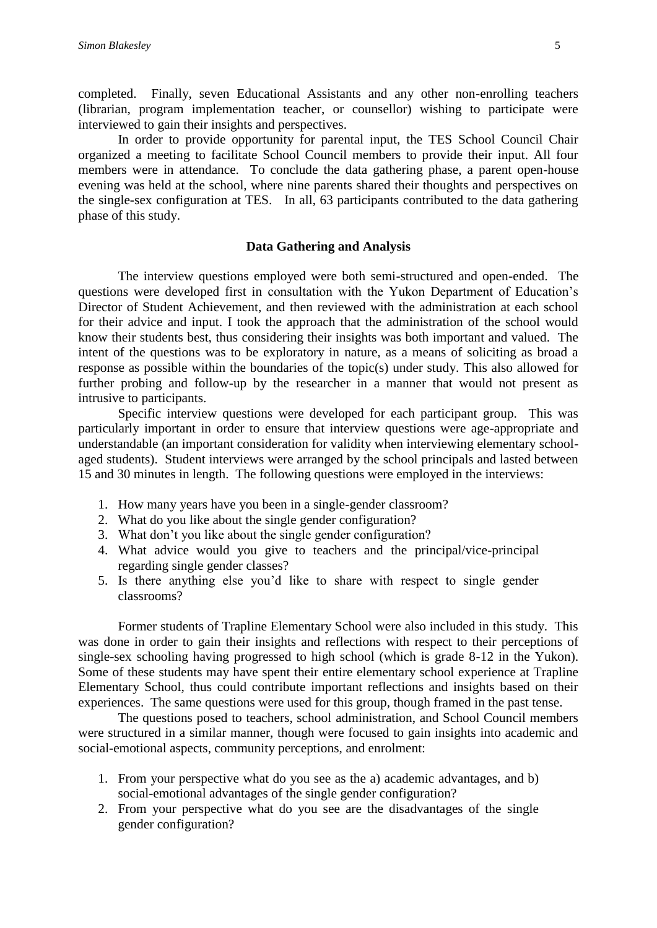completed. Finally, seven Educational Assistants and any other non-enrolling teachers (librarian, program implementation teacher, or counsellor) wishing to participate were interviewed to gain their insights and perspectives.

In order to provide opportunity for parental input, the TES School Council Chair organized a meeting to facilitate School Council members to provide their input. All four members were in attendance. To conclude the data gathering phase, a parent open-house evening was held at the school, where nine parents shared their thoughts and perspectives on the single-sex configuration at TES. In all, 63 participants contributed to the data gathering phase of this study.

#### **Data Gathering and Analysis**

The interview questions employed were both semi-structured and open-ended. The questions were developed first in consultation with the Yukon Department of Education's Director of Student Achievement, and then reviewed with the administration at each school for their advice and input. I took the approach that the administration of the school would know their students best, thus considering their insights was both important and valued. The intent of the questions was to be exploratory in nature, as a means of soliciting as broad a response as possible within the boundaries of the topic(s) under study. This also allowed for further probing and follow-up by the researcher in a manner that would not present as intrusive to participants.

Specific interview questions were developed for each participant group. This was particularly important in order to ensure that interview questions were age-appropriate and understandable (an important consideration for validity when interviewing elementary schoolaged students). Student interviews were arranged by the school principals and lasted between 15 and 30 minutes in length. The following questions were employed in the interviews:

- 1. How many years have you been in a single-gender classroom?
- 2. What do you like about the single gender configuration?
- 3. What don't you like about the single gender configuration?
- 4. What advice would you give to teachers and the principal/vice-principal regarding single gender classes?
- 5. Is there anything else you'd like to share with respect to single gender classrooms?

Former students of Trapline Elementary School were also included in this study. This was done in order to gain their insights and reflections with respect to their perceptions of single-sex schooling having progressed to high school (which is grade 8-12 in the Yukon). Some of these students may have spent their entire elementary school experience at Trapline Elementary School, thus could contribute important reflections and insights based on their experiences. The same questions were used for this group, though framed in the past tense.

The questions posed to teachers, school administration, and School Council members were structured in a similar manner, though were focused to gain insights into academic and social-emotional aspects, community perceptions, and enrolment:

- 1. From your perspective what do you see as the a) academic advantages, and b) social-emotional advantages of the single gender configuration?
- 2. From your perspective what do you see are the disadvantages of the single gender configuration?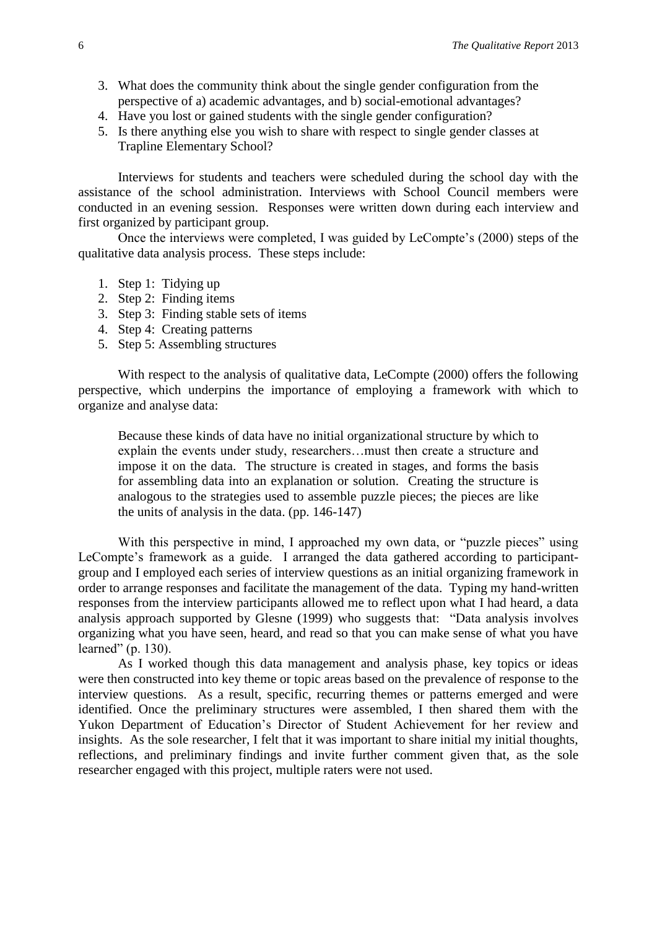- 3. What does the community think about the single gender configuration from the perspective of a) academic advantages, and b) social-emotional advantages?
- 4. Have you lost or gained students with the single gender configuration?
- 5. Is there anything else you wish to share with respect to single gender classes at Trapline Elementary School?

Interviews for students and teachers were scheduled during the school day with the assistance of the school administration. Interviews with School Council members were conducted in an evening session. Responses were written down during each interview and first organized by participant group.

Once the interviews were completed, I was guided by LeCompte's (2000) steps of the qualitative data analysis process. These steps include:

- 1. Step 1: Tidying up
- 2. Step 2: Finding items
- 3. Step 3: Finding stable sets of items
- 4. Step 4: Creating patterns
- 5. Step 5: Assembling structures

With respect to the analysis of qualitative data, LeCompte (2000) offers the following perspective, which underpins the importance of employing a framework with which to organize and analyse data:

Because these kinds of data have no initial organizational structure by which to explain the events under study, researchers…must then create a structure and impose it on the data. The structure is created in stages, and forms the basis for assembling data into an explanation or solution. Creating the structure is analogous to the strategies used to assemble puzzle pieces; the pieces are like the units of analysis in the data. (pp. 146-147)

With this perspective in mind, I approached my own data, or "puzzle pieces" using LeCompte's framework as a guide. I arranged the data gathered according to participantgroup and I employed each series of interview questions as an initial organizing framework in order to arrange responses and facilitate the management of the data. Typing my hand-written responses from the interview participants allowed me to reflect upon what I had heard, a data analysis approach supported by Glesne (1999) who suggests that: "Data analysis involves organizing what you have seen, heard, and read so that you can make sense of what you have learned" (p. 130).

As I worked though this data management and analysis phase, key topics or ideas were then constructed into key theme or topic areas based on the prevalence of response to the interview questions. As a result, specific, recurring themes or patterns emerged and were identified. Once the preliminary structures were assembled, I then shared them with the Yukon Department of Education's Director of Student Achievement for her review and insights. As the sole researcher, I felt that it was important to share initial my initial thoughts, reflections, and preliminary findings and invite further comment given that, as the sole researcher engaged with this project, multiple raters were not used.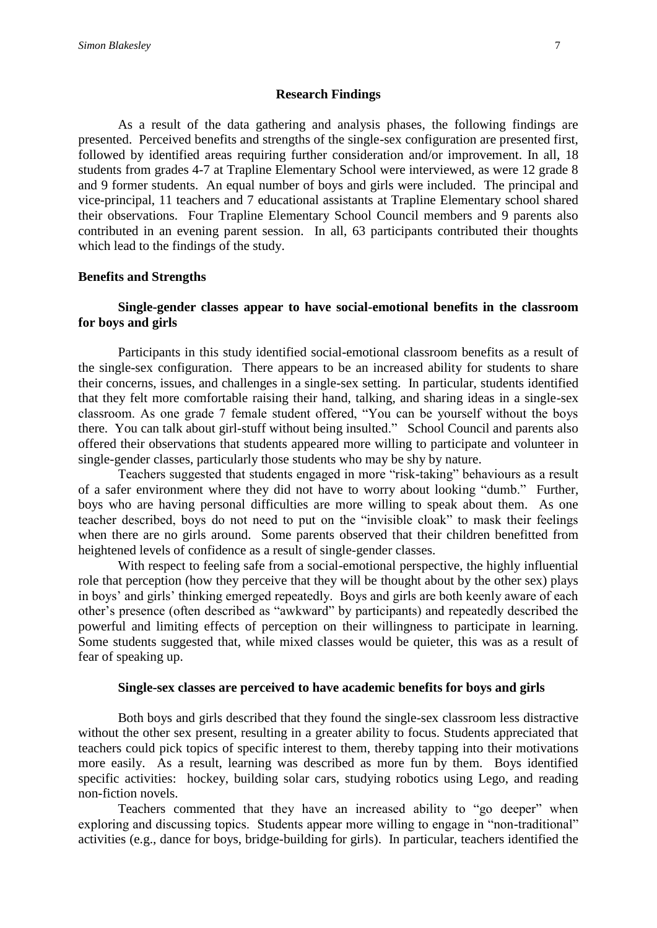#### **Research Findings**

As a result of the data gathering and analysis phases, the following findings are presented. Perceived benefits and strengths of the single-sex configuration are presented first, followed by identified areas requiring further consideration and/or improvement. In all, 18 students from grades 4-7 at Trapline Elementary School were interviewed, as were 12 grade 8 and 9 former students. An equal number of boys and girls were included. The principal and vice-principal, 11 teachers and 7 educational assistants at Trapline Elementary school shared their observations. Four Trapline Elementary School Council members and 9 parents also contributed in an evening parent session. In all, 63 participants contributed their thoughts which lead to the findings of the study.

#### **Benefits and Strengths**

## **Single-gender classes appear to have social-emotional benefits in the classroom for boys and girls**

Participants in this study identified social-emotional classroom benefits as a result of the single-sex configuration. There appears to be an increased ability for students to share their concerns, issues, and challenges in a single-sex setting. In particular, students identified that they felt more comfortable raising their hand, talking, and sharing ideas in a single-sex classroom. As one grade 7 female student offered, "You can be yourself without the boys there. You can talk about girl-stuff without being insulted." School Council and parents also offered their observations that students appeared more willing to participate and volunteer in single-gender classes, particularly those students who may be shy by nature.

Teachers suggested that students engaged in more "risk-taking" behaviours as a result of a safer environment where they did not have to worry about looking "dumb." Further, boys who are having personal difficulties are more willing to speak about them. As one teacher described, boys do not need to put on the "invisible cloak" to mask their feelings when there are no girls around. Some parents observed that their children benefitted from heightened levels of confidence as a result of single-gender classes.

With respect to feeling safe from a social-emotional perspective, the highly influential role that perception (how they perceive that they will be thought about by the other sex) plays in boys' and girls' thinking emerged repeatedly. Boys and girls are both keenly aware of each other's presence (often described as "awkward" by participants) and repeatedly described the powerful and limiting effects of perception on their willingness to participate in learning. Some students suggested that, while mixed classes would be quieter, this was as a result of fear of speaking up.

#### **Single-sex classes are perceived to have academic benefits for boys and girls**

Both boys and girls described that they found the single-sex classroom less distractive without the other sex present, resulting in a greater ability to focus. Students appreciated that teachers could pick topics of specific interest to them, thereby tapping into their motivations more easily. As a result, learning was described as more fun by them. Boys identified specific activities: hockey, building solar cars, studying robotics using Lego, and reading non-fiction novels.

Teachers commented that they have an increased ability to "go deeper" when exploring and discussing topics. Students appear more willing to engage in "non-traditional" activities (e.g., dance for boys, bridge-building for girls). In particular, teachers identified the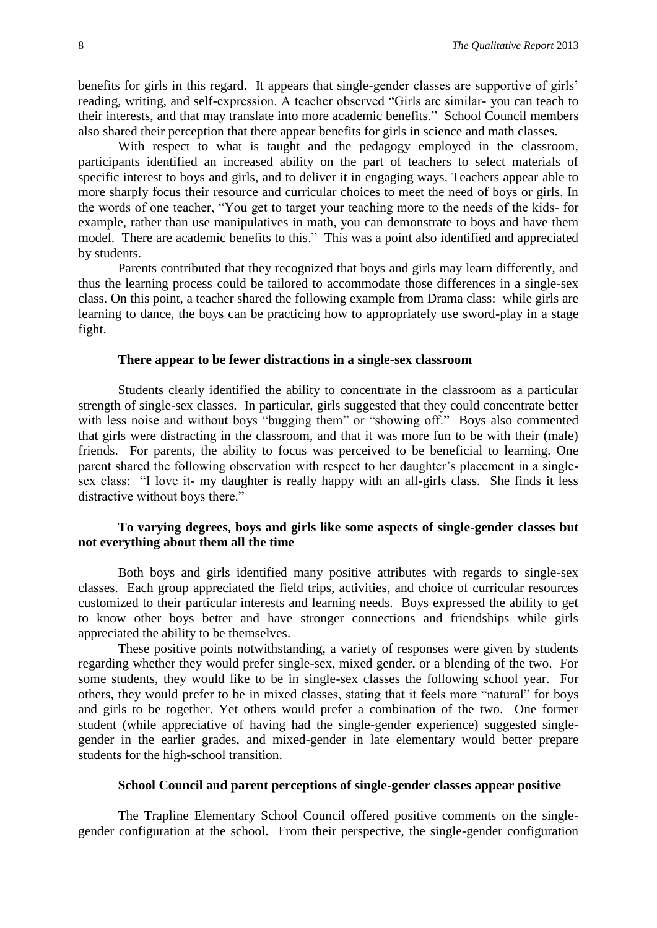benefits for girls in this regard. It appears that single-gender classes are supportive of girls' reading, writing, and self-expression. A teacher observed "Girls are similar- you can teach to their interests, and that may translate into more academic benefits." School Council members also shared their perception that there appear benefits for girls in science and math classes.

With respect to what is taught and the pedagogy employed in the classroom, participants identified an increased ability on the part of teachers to select materials of specific interest to boys and girls, and to deliver it in engaging ways. Teachers appear able to more sharply focus their resource and curricular choices to meet the need of boys or girls. In the words of one teacher, "You get to target your teaching more to the needs of the kids- for example, rather than use manipulatives in math, you can demonstrate to boys and have them model. There are academic benefits to this." This was a point also identified and appreciated by students.

Parents contributed that they recognized that boys and girls may learn differently, and thus the learning process could be tailored to accommodate those differences in a single-sex class. On this point, a teacher shared the following example from Drama class: while girls are learning to dance, the boys can be practicing how to appropriately use sword-play in a stage fight.

#### **There appear to be fewer distractions in a single-sex classroom**

Students clearly identified the ability to concentrate in the classroom as a particular strength of single-sex classes. In particular, girls suggested that they could concentrate better with less noise and without boys "bugging them" or "showing off." Boys also commented that girls were distracting in the classroom, and that it was more fun to be with their (male) friends. For parents, the ability to focus was perceived to be beneficial to learning. One parent shared the following observation with respect to her daughter's placement in a singlesex class: "I love it- my daughter is really happy with an all-girls class. She finds it less distractive without boys there."

## **To varying degrees, boys and girls like some aspects of single-gender classes but not everything about them all the time**

Both boys and girls identified many positive attributes with regards to single-sex classes. Each group appreciated the field trips, activities, and choice of curricular resources customized to their particular interests and learning needs. Boys expressed the ability to get to know other boys better and have stronger connections and friendships while girls appreciated the ability to be themselves.

These positive points notwithstanding, a variety of responses were given by students regarding whether they would prefer single-sex, mixed gender, or a blending of the two. For some students, they would like to be in single-sex classes the following school year. For others, they would prefer to be in mixed classes, stating that it feels more "natural" for boys and girls to be together. Yet others would prefer a combination of the two. One former student (while appreciative of having had the single-gender experience) suggested singlegender in the earlier grades, and mixed-gender in late elementary would better prepare students for the high-school transition.

#### **School Council and parent perceptions of single-gender classes appear positive**

The Trapline Elementary School Council offered positive comments on the singlegender configuration at the school. From their perspective, the single-gender configuration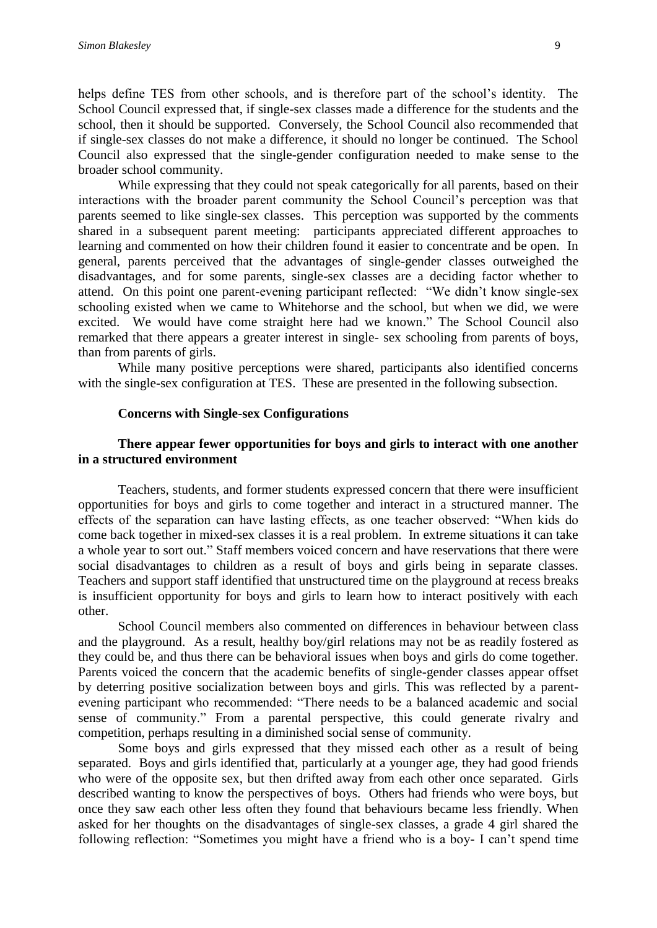helps define TES from other schools, and is therefore part of the school's identity. The School Council expressed that, if single-sex classes made a difference for the students and the school, then it should be supported. Conversely, the School Council also recommended that if single-sex classes do not make a difference, it should no longer be continued. The School Council also expressed that the single-gender configuration needed to make sense to the broader school community.

While expressing that they could not speak categorically for all parents, based on their interactions with the broader parent community the School Council's perception was that parents seemed to like single-sex classes. This perception was supported by the comments shared in a subsequent parent meeting: participants appreciated different approaches to learning and commented on how their children found it easier to concentrate and be open. In general, parents perceived that the advantages of single-gender classes outweighed the disadvantages, and for some parents, single-sex classes are a deciding factor whether to attend. On this point one parent-evening participant reflected: "We didn't know single-sex schooling existed when we came to Whitehorse and the school, but when we did, we were excited. We would have come straight here had we known." The School Council also remarked that there appears a greater interest in single- sex schooling from parents of boys, than from parents of girls.

While many positive perceptions were shared, participants also identified concerns with the single-sex configuration at TES. These are presented in the following subsection.

#### **Concerns with Single-sex Configurations**

## **There appear fewer opportunities for boys and girls to interact with one another in a structured environment**

Teachers, students, and former students expressed concern that there were insufficient opportunities for boys and girls to come together and interact in a structured manner. The effects of the separation can have lasting effects, as one teacher observed: "When kids do come back together in mixed-sex classes it is a real problem. In extreme situations it can take a whole year to sort out." Staff members voiced concern and have reservations that there were social disadvantages to children as a result of boys and girls being in separate classes. Teachers and support staff identified that unstructured time on the playground at recess breaks is insufficient opportunity for boys and girls to learn how to interact positively with each other.

School Council members also commented on differences in behaviour between class and the playground. As a result, healthy boy/girl relations may not be as readily fostered as they could be, and thus there can be behavioral issues when boys and girls do come together. Parents voiced the concern that the academic benefits of single-gender classes appear offset by deterring positive socialization between boys and girls. This was reflected by a parentevening participant who recommended: "There needs to be a balanced academic and social sense of community." From a parental perspective, this could generate rivalry and competition, perhaps resulting in a diminished social sense of community.

Some boys and girls expressed that they missed each other as a result of being separated. Boys and girls identified that, particularly at a younger age, they had good friends who were of the opposite sex, but then drifted away from each other once separated. Girls described wanting to know the perspectives of boys. Others had friends who were boys, but once they saw each other less often they found that behaviours became less friendly. When asked for her thoughts on the disadvantages of single-sex classes, a grade 4 girl shared the following reflection: "Sometimes you might have a friend who is a boy- I can't spend time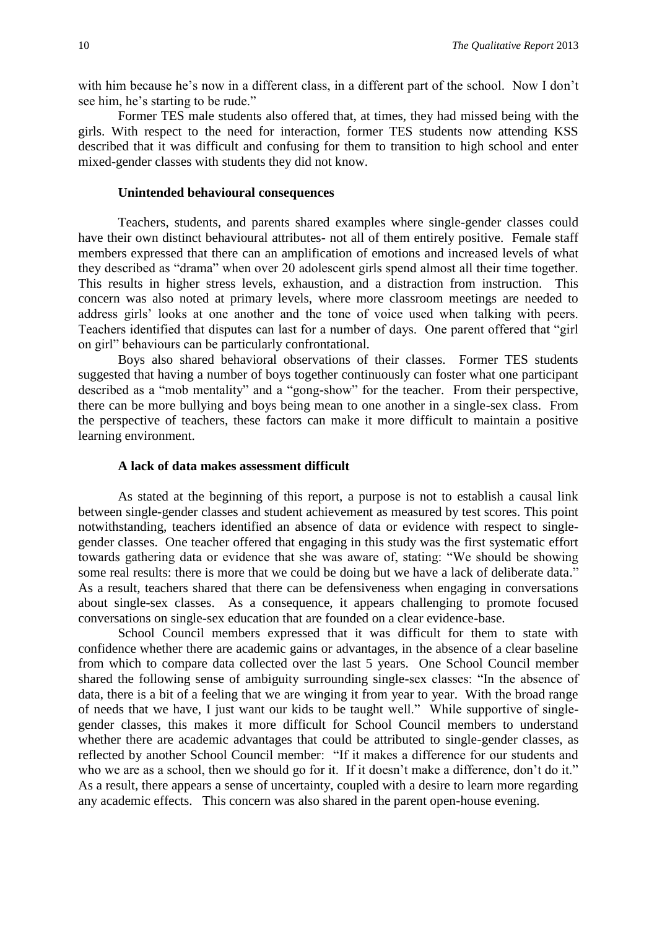with him because he's now in a different class, in a different part of the school. Now I don't see him, he's starting to be rude."

Former TES male students also offered that, at times, they had missed being with the girls. With respect to the need for interaction, former TES students now attending KSS described that it was difficult and confusing for them to transition to high school and enter mixed-gender classes with students they did not know.

#### **Unintended behavioural consequences**

Teachers, students, and parents shared examples where single-gender classes could have their own distinct behavioural attributes- not all of them entirely positive. Female staff members expressed that there can an amplification of emotions and increased levels of what they described as "drama" when over 20 adolescent girls spend almost all their time together. This results in higher stress levels, exhaustion, and a distraction from instruction. This concern was also noted at primary levels, where more classroom meetings are needed to address girls' looks at one another and the tone of voice used when talking with peers. Teachers identified that disputes can last for a number of days. One parent offered that "girl on girl" behaviours can be particularly confrontational.

Boys also shared behavioral observations of their classes. Former TES students suggested that having a number of boys together continuously can foster what one participant described as a "mob mentality" and a "gong-show" for the teacher. From their perspective, there can be more bullying and boys being mean to one another in a single-sex class. From the perspective of teachers, these factors can make it more difficult to maintain a positive learning environment.

#### **A lack of data makes assessment difficult**

As stated at the beginning of this report, a purpose is not to establish a causal link between single-gender classes and student achievement as measured by test scores. This point notwithstanding, teachers identified an absence of data or evidence with respect to singlegender classes. One teacher offered that engaging in this study was the first systematic effort towards gathering data or evidence that she was aware of, stating: "We should be showing some real results: there is more that we could be doing but we have a lack of deliberate data." As a result, teachers shared that there can be defensiveness when engaging in conversations about single-sex classes. As a consequence, it appears challenging to promote focused conversations on single-sex education that are founded on a clear evidence-base.

School Council members expressed that it was difficult for them to state with confidence whether there are academic gains or advantages, in the absence of a clear baseline from which to compare data collected over the last 5 years. One School Council member shared the following sense of ambiguity surrounding single-sex classes: "In the absence of data, there is a bit of a feeling that we are winging it from year to year. With the broad range of needs that we have, I just want our kids to be taught well." While supportive of singlegender classes, this makes it more difficult for School Council members to understand whether there are academic advantages that could be attributed to single-gender classes, as reflected by another School Council member: "If it makes a difference for our students and who we are as a school, then we should go for it. If it doesn't make a difference, don't do it." As a result, there appears a sense of uncertainty, coupled with a desire to learn more regarding any academic effects. This concern was also shared in the parent open-house evening.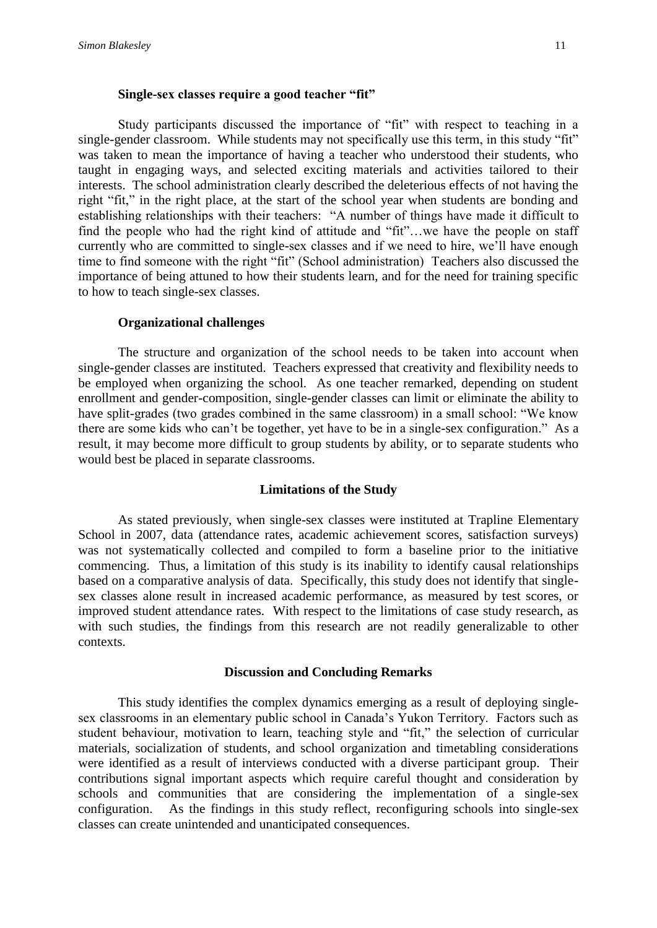## **Single-sex classes require a good teacher "fit"**

Study participants discussed the importance of "fit" with respect to teaching in a single-gender classroom. While students may not specifically use this term, in this study "fit" was taken to mean the importance of having a teacher who understood their students, who taught in engaging ways, and selected exciting materials and activities tailored to their interests. The school administration clearly described the deleterious effects of not having the right "fit," in the right place, at the start of the school year when students are bonding and establishing relationships with their teachers: "A number of things have made it difficult to find the people who had the right kind of attitude and "fit"…we have the people on staff currently who are committed to single-sex classes and if we need to hire, we'll have enough time to find someone with the right "fit" (School administration) Teachers also discussed the importance of being attuned to how their students learn, and for the need for training specific to how to teach single-sex classes.

#### **Organizational challenges**

The structure and organization of the school needs to be taken into account when single-gender classes are instituted. Teachers expressed that creativity and flexibility needs to be employed when organizing the school. As one teacher remarked, depending on student enrollment and gender-composition, single-gender classes can limit or eliminate the ability to have split-grades (two grades combined in the same classroom) in a small school: "We know there are some kids who can't be together, yet have to be in a single-sex configuration." As a result, it may become more difficult to group students by ability, or to separate students who would best be placed in separate classrooms.

### **Limitations of the Study**

As stated previously, when single-sex classes were instituted at Trapline Elementary School in 2007, data (attendance rates, academic achievement scores, satisfaction surveys) was not systematically collected and compiled to form a baseline prior to the initiative commencing. Thus, a limitation of this study is its inability to identify causal relationships based on a comparative analysis of data. Specifically, this study does not identify that singlesex classes alone result in increased academic performance, as measured by test scores, or improved student attendance rates. With respect to the limitations of case study research, as with such studies, the findings from this research are not readily generalizable to other contexts.

#### **Discussion and Concluding Remarks**

This study identifies the complex dynamics emerging as a result of deploying singlesex classrooms in an elementary public school in Canada's Yukon Territory. Factors such as student behaviour, motivation to learn, teaching style and "fit," the selection of curricular materials, socialization of students, and school organization and timetabling considerations were identified as a result of interviews conducted with a diverse participant group. Their contributions signal important aspects which require careful thought and consideration by schools and communities that are considering the implementation of a single-sex configuration. As the findings in this study reflect, reconfiguring schools into single-sex classes can create unintended and unanticipated consequences.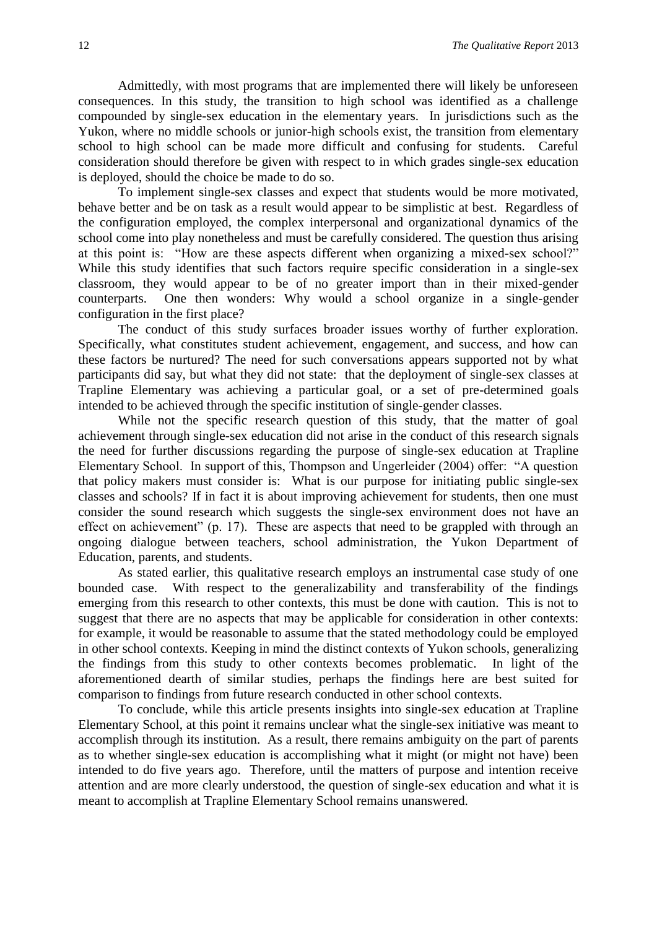Admittedly, with most programs that are implemented there will likely be unforeseen consequences. In this study, the transition to high school was identified as a challenge compounded by single-sex education in the elementary years. In jurisdictions such as the Yukon, where no middle schools or junior-high schools exist, the transition from elementary school to high school can be made more difficult and confusing for students. Careful consideration should therefore be given with respect to in which grades single-sex education is deployed, should the choice be made to do so.

To implement single-sex classes and expect that students would be more motivated, behave better and be on task as a result would appear to be simplistic at best. Regardless of the configuration employed, the complex interpersonal and organizational dynamics of the school come into play nonetheless and must be carefully considered. The question thus arising at this point is: "How are these aspects different when organizing a mixed-sex school?" While this study identifies that such factors require specific consideration in a single-sex classroom, they would appear to be of no greater import than in their mixed-gender counterparts. One then wonders: Why would a school organize in a single-gender configuration in the first place?

The conduct of this study surfaces broader issues worthy of further exploration. Specifically, what constitutes student achievement, engagement, and success, and how can these factors be nurtured? The need for such conversations appears supported not by what participants did say, but what they did not state: that the deployment of single-sex classes at Trapline Elementary was achieving a particular goal, or a set of pre-determined goals intended to be achieved through the specific institution of single-gender classes.

While not the specific research question of this study, that the matter of goal achievement through single-sex education did not arise in the conduct of this research signals the need for further discussions regarding the purpose of single-sex education at Trapline Elementary School. In support of this, Thompson and Ungerleider (2004) offer: "A question that policy makers must consider is: What is our purpose for initiating public single-sex classes and schools? If in fact it is about improving achievement for students, then one must consider the sound research which suggests the single-sex environment does not have an effect on achievement" (p. 17). These are aspects that need to be grappled with through an ongoing dialogue between teachers, school administration, the Yukon Department of Education, parents, and students.

As stated earlier, this qualitative research employs an instrumental case study of one bounded case. With respect to the generalizability and transferability of the findings emerging from this research to other contexts, this must be done with caution. This is not to suggest that there are no aspects that may be applicable for consideration in other contexts: for example, it would be reasonable to assume that the stated methodology could be employed in other school contexts. Keeping in mind the distinct contexts of Yukon schools, generalizing the findings from this study to other contexts becomes problematic. In light of the aforementioned dearth of similar studies, perhaps the findings here are best suited for comparison to findings from future research conducted in other school contexts.

To conclude, while this article presents insights into single-sex education at Trapline Elementary School, at this point it remains unclear what the single-sex initiative was meant to accomplish through its institution. As a result, there remains ambiguity on the part of parents as to whether single-sex education is accomplishing what it might (or might not have) been intended to do five years ago. Therefore, until the matters of purpose and intention receive attention and are more clearly understood, the question of single-sex education and what it is meant to accomplish at Trapline Elementary School remains unanswered.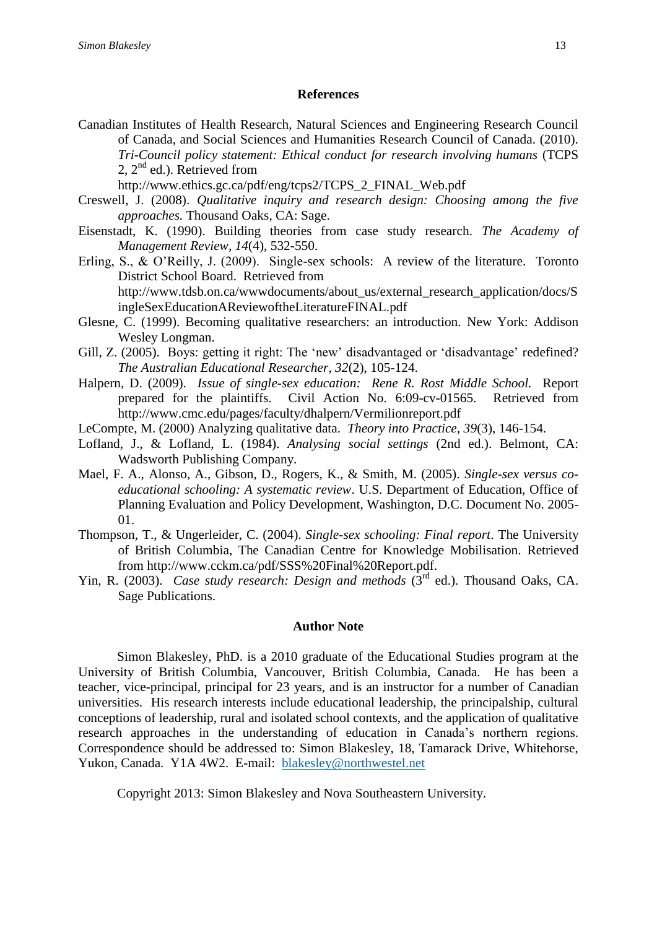#### **References**

Canadian Institutes of Health Research, Natural Sciences and Engineering Research Council of Canada, and Social Sciences and Humanities Research Council of Canada. (2010). *Tri-Council policy statement: Ethical conduct for research involving humans* (TCPS 2, 2<sup>nd</sup> ed.). Retrieved from

http://www.ethics.gc.ca/pdf/eng/tcps2/TCPS\_2\_FINAL\_Web.pdf

- Creswell, J. (2008). *Qualitative inquiry and research design: Choosing among the five approaches.* Thousand Oaks, CA: Sage.
- Eisenstadt, K. (1990). Building theories from case study research. *The Academy of Management Review, 14*(4), 532-550.
- Erling, S., & O'Reilly, J. (2009). Single-sex schools: A review of the literature. Toronto District School Board. Retrieved from http://www.tdsb.on.ca/wwwdocuments/about\_us/external\_research\_application/docs/S ingleSexEducationAReviewoftheLiteratureFINAL.pdf
- Glesne, C. (1999). Becoming qualitative researchers: an introduction. New York: Addison Wesley Longman.
- Gill, Z. (2005). Boys: getting it right: The 'new' disadvantaged or 'disadvantage' redefined? *The Australian Educational Researcher*, *32*(2), 105-124.
- Halpern, D. (2009). *Issue of single-sex education: Rene R. Rost Middle School.* Report prepared for the plaintiffs. Civil Action No. 6:09-cv-01565. Retrieved from http://www.cmc.edu/pages/faculty/dhalpern/Vermilionreport.pdf
- LeCompte, M. (2000) Analyzing qualitative data. *Theory into Practice, 39*(3), 146-154.
- Lofland, J., & Lofland, L. (1984). *Analysing social settings* (2nd ed.). Belmont, CA: Wadsworth Publishing Company.
- Mael, F. A., Alonso, A., Gibson, D., Rogers, K., & Smith, M. (2005). *Single-sex versus coeducational schooling: A systematic review*. U.S. Department of Education, Office of Planning Evaluation and Policy Development, Washington, D.C. Document No. 2005- 01.
- Thompson, T., & Ungerleider, C. (2004). *Single-sex schooling: Final report*. The University of British Columbia, The Canadian Centre for Knowledge Mobilisation. Retrieved from http://www.cckm.ca/pdf/SSS%20Final%20Report.pdf.
- Yin, R. (2003). *Case study research: Design and methods* (3<sup>rd</sup> ed.). Thousand Oaks, CA. Sage Publications.

#### **Author Note**

Simon Blakesley, PhD. is a 2010 graduate of the Educational Studies program at the University of British Columbia, Vancouver, British Columbia, Canada. He has been a teacher, vice-principal, principal for 23 years, and is an instructor for a number of Canadian universities. His research interests include educational leadership, the principalship, cultural conceptions of leadership, rural and isolated school contexts, and the application of qualitative research approaches in the understanding of education in Canada's northern regions. Correspondence should be addressed to: Simon Blakesley, 18, Tamarack Drive, Whitehorse, Yukon, Canada. Y1A 4W2. E-mail: [blakesley@northwestel.net](mailto:blakesley@northwestel.net)

Copyright 2013: Simon Blakesley and Nova Southeastern University.